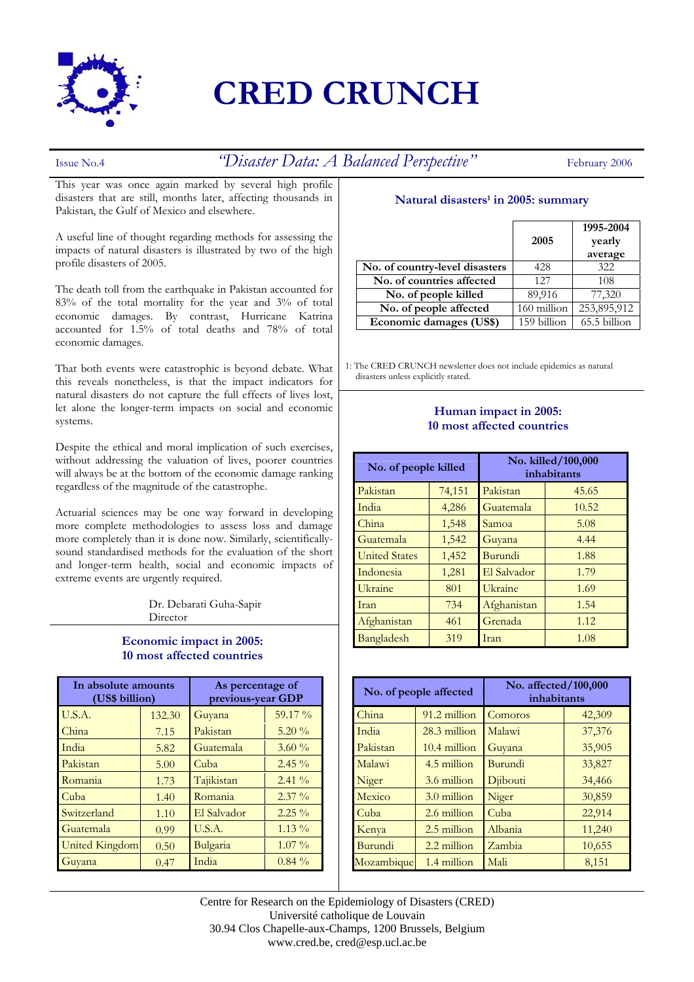

# **CRED CRUNCH**

## Issue No.4 *"Disaster Data: A Balanced Perspective"* February 2006

This year was once again marked by several high profile disasters that are still, months later, affecting thousands in Pakistan, the Gulf of Mexico and elsewhere.

A useful line of thought regarding methods for assessing the impacts of natural disasters is illustrated by two of the high profile disasters of 2005.

The death toll from the earthquake in Pakistan accounted for 83% of the total mortality for the year and 3% of total economic damages. By contrast, Hurricane Katrina accounted for 1.5% of total deaths and 78% of total economic damages.

That both events were catastrophic is beyond debate. What this reveals nonetheless, is that the impact indicators for natural disasters do not capture the full effects of lives lost, let alone the longer-term impacts on social and economic systems.

Despite the ethical and moral implication of such exercises, without addressing the valuation of lives, poorer countries will always be at the bottom of the economic damage ranking regardless of the magnitude of the catastrophe.

Actuarial sciences may be one way forward in developing more complete methodologies to assess loss and damage more completely than it is done now. Similarly, scientificallysound standardised methods for the evaluation of the short and longer-term health, social and economic impacts of extreme events are urgently required.

> Dr. Debarati Guha-Sapir **Director**

#### **Economic impact in 2005: 10 most affected countries**

| In absolute amounts<br>(US\$ billion) |        | As percentage of<br>previous-year GDP |          |
|---------------------------------------|--------|---------------------------------------|----------|
| U.S.A.                                | 132.30 | Guyana                                | 59.17 %  |
| China                                 | 7.15   | Pakistan                              | $5.20\%$ |
| India                                 | 5.82   | Guatemala                             | $3.60\%$ |
| Pakistan                              | 5.00   | Cuba                                  | $2.45\%$ |
| Romania                               | 1.73   | Tajikistan                            | $2.41\%$ |
| Cuba                                  | 1.40   | Romania                               | $2.37\%$ |
| Switzerland                           | 1.10   | El Salvador                           | $2.25\%$ |
| Guatemala                             | 0.99   | U.S.A.                                | $1.13\%$ |
| <b>United Kingdom</b>                 | 0.50   | Bulgaria                              | $1.07\%$ |
| Guyana                                | 0.47   | India                                 | $0.84\%$ |

#### **Natural disasters1 in 2005: summary**

|                                | 2005        | 1995-2004<br>yearly<br>average |
|--------------------------------|-------------|--------------------------------|
| No. of country-level disasters | 428         | 322                            |
| No. of countries affected      | 127         | 108                            |
| No. of people killed           | 89,916      | 77,320                         |
| No. of people affected         | 160 million | 253,895,912                    |
| Economic damages (US\$)        | 159 billion | 65.5 billion                   |

1: The CRED CRUNCH newsletter does not include epidemics as natural disasters unless explicitly stated.

### **Human impact in 2005: 10 most affected countries**

| No. of people killed |        | No. killed/100,000<br>inhabitants |       |
|----------------------|--------|-----------------------------------|-------|
| Pakistan             | 74,151 | Pakistan                          | 45.65 |
| India                | 4,286  | Guatemala                         | 10.52 |
| China                | 1,548  | Samoa                             | 5.08  |
| Guatemala            | 1,542  | Guyana                            | 4.44  |
| <b>United States</b> | 1,452  | Burundi                           | 1.88  |
| Indonesia            | 1,281  | El Salvador                       | 1.79  |
| Ukraine              | 801    | Ukraine                           | 1.69  |
| Iran                 | 734    | Afghanistan                       | 1.54  |
| Afghanistan          | 461    | Grenada                           | 1.12  |
| Bangladesh           | 319    | Iran                              | 1.08  |

| No. of people affected |                | No. affected/100,000<br>inhabitants |        |
|------------------------|----------------|-------------------------------------|--------|
| China                  | 91.2 million   | Comoros                             | 42,309 |
| India                  | 28.3 million   | Malawi                              | 37,376 |
| Pakistan               | $10.4$ million | Guyana                              | 35,905 |
| Malawi                 | 4.5 million    | Burundi                             | 33,827 |
| Niger                  | 3.6 million    | Djibouti                            | 34,466 |
| Mexico                 | $3.0$ million  | Niger                               | 30,859 |
| Cuba                   | 2.6 million    | Cuba                                | 22,914 |
| Kenya                  | 2.5 million    | Albania                             | 11,240 |
| Burundi                | 2.2 million    | Zambia                              | 10,655 |
| Mozambique             | 1.4 million    | Mali                                | 8,151  |

Centre for Research on the Epidemiology of Disasters (CRED) Université catholique de Louvain 30.94 Clos Chapelle-aux-Champs, 1200 Brussels, Belgium www.cred.be, cred@esp.ucl.ac.be